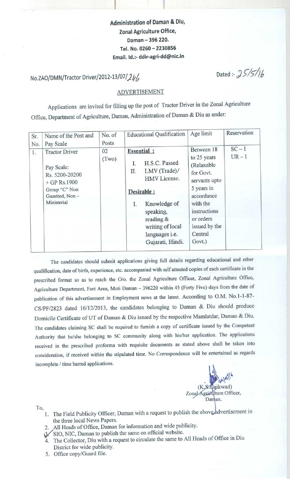**Administration of Daman & Diu, Zonal Agriculture Office, Daman** - **396 220. Tel. No** . **<sup>0260</sup>** - **<sup>2230856</sup> Email. Id**.:- **ddir-agri**-**dd@nic.in**

# **No.ZAO/DMN/Tractor Driver/2012-13/07/24/**

Dated :-  $25/5/16$ 

### ADVERTISEMENT

**Applications Applications are invited for filling up the post of Tractor Driver in the Zonal Agriculture** Office, Department of Agriculture, Daman, Administration of Daman & Diu as under:

| Sr.<br>No. | Name of the Post and<br>Pay Scale                                                                                         | No. of<br>Posts | <b>Educational Qualification</b>                                                                                                                                                                                | Age limit                                                                                                                                                                        | Reservation      |
|------------|---------------------------------------------------------------------------------------------------------------------------|-----------------|-----------------------------------------------------------------------------------------------------------------------------------------------------------------------------------------------------------------|----------------------------------------------------------------------------------------------------------------------------------------------------------------------------------|------------------|
| 1.         | <b>Tractor Driver</b><br>Pay Scale:<br>Rs. 5200-20200<br>$+$ GP Rs.1900<br>Group "C" Non<br>Gazetted, Non-<br>Ministerial | 02<br>(Two)     | <b>Essential</b> :<br>H.S.C. Passed<br>I.<br>LMV (Trade)/<br>П.<br>HMV License.<br>Desirable :<br>Knowledge of<br>Ι.<br>speaking,<br>reading &<br>writing of local<br>languages <i>i.e.</i><br>Gujarati, Hindi. | Between 18<br>to 25 years<br>(Relaxable<br>for Govt.<br>servants upto<br>5 years in<br>accordance<br>with the<br>instructions<br>or orders<br>issued by the<br>Central<br>Govt.) | $SC-1$<br>$UR-1$ |

The candidates should submit applications giving full details regarding educational and other qualification, date of birth, experience, etc. accompanied with self attested copies of each certificate in the prescribed format so as to reach the O/o. the Zonal Agriculture Officer, Zonal Agriculture Office, Agriculture Department, Fort Area, Moti Daman - 396220 within 45 (Forty Five) days from the date of publication of this advertisement in Employment news at the latest. According to O.M. No.1-1-87- CS/PF/2823 dated 16/12/2013, the candidates belonging to Daman & Diu should produce Domicile Certificate of UT of Daman & Diu issued by the respective Mamlatdar, Daman & Diu. The candidates claiming SC shall be required to furnish a copy of certificate issued by the Competent Authority that he/she belonging to SC community along with his/her application. The applications received in the prescribed proforma with requisite documents as stated above shall be taken into consideration, if received within the stipulated time. No Correspondence will be entertained as regards incomplete / time barred applications.



To,

- 1. The Field Publicity Officer, Daman with a request to publish the above advertisement in **the three local News Papers.**
- **2. All Heads of Office, Daman for information and wide publicity.**
- ('SIO, NIC, **Daman to publish the same on official website.**
- **4. The Collector, Diu with a request to circulate the same to All Heads of Office in Diu District for wide publicity.**
- **5. Office copy**/**Guard file.**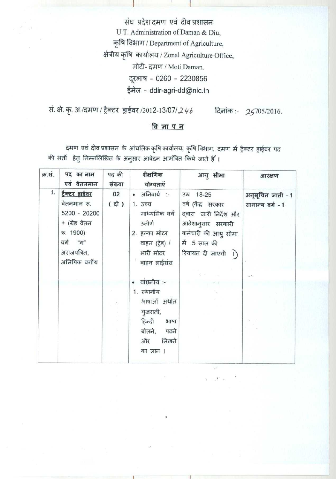संघ प्रदेश दमण एवं दीव प्रशासन U.T. Administration of Daman & Diu, कृषि विभाग / Department of Agriculture, क्षेत्रीय कृषि कार्यालय / Zonal Agriculture Office, मोटी- दमण / Moti Daman. दूरभाष - 0260 - 2230856 ईमेल - ddir-agri-dd@nic.in

सं. क्षे. कृ. अ./दमण / ट्रैक्टर ड्राईवर /2012-13/07/246 दिनांक:- 25705/2016.

## <u>विज्ञापन</u>

दमण एवं दीव प्रशासन के आंचलिक कृषि कार्यालय, कृषि विभाग, दमण में ट्रैक्टर ड्राईवर पद की भर्ती हेतु निम्नलिखित के अनुसार आवेदन आमंत्रित किये जाते हैं।

| क्र.सं. | पद का नाम<br>एवं वेतनमान                                                                                                | पद की<br>संख्या          | शैक्षणिक<br>योग्यताएँ                                                                                              | आयु सीमा                                                                                                                                            | आरक्षण                                |
|---------|-------------------------------------------------------------------------------------------------------------------------|--------------------------|--------------------------------------------------------------------------------------------------------------------|-----------------------------------------------------------------------------------------------------------------------------------------------------|---------------------------------------|
| 1.      | टैक्टर ड्राईवर<br>वेतनमान रू.<br>5200 - 20200<br>+ (ग्रेड वेतन<br>रू. 1900)<br>वर्ग "ग"<br>अराजपत्रित,<br>अलिपिक वर्गीय | 02<br>( d <sup>1</sup> ) | • अनिवार्य :-<br>1. उच्च<br>माध्यमिक वर्ग<br>उतीर्ण<br>2. हल्का मोटर<br>वाहन (ट्रेड) /<br>भारी मोटर<br>वाहन लाईसंस | उम्र 18-25<br>वर्ष (केंद्र सरकार<br>दवारा जारी निर्देश और<br>आदेशानुसार सरकारी<br>कर्मचारी की आयु सीमा<br>में 5 साल की<br>रियायत दी जाएगी $\bigcap$ | अनुसूचित जाती - 1<br>सामान्य वर्ग - 1 |
|         |                                                                                                                         |                          | वाछनीय :-<br>1. स्थानीय<br>भाषाओं अर्थात<br>गुजराती,<br>हिन्दी<br>भाषा<br>बोलने, पढने<br>लिखने<br>और<br>का ज्ञान । |                                                                                                                                                     |                                       |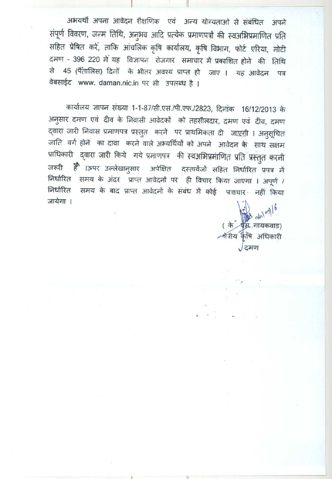अभयर्थी अपना आवेदन शैक्षणिक एवं अन्य योग्यताओं से संबंधित अपने संपूर्ण विवरण, जन्म तिथि, अनुभव आदि प्रत्येक प्रमाणपत्रों की स्वअभिप्रमाणित प्रति सहित प्रेषित करें, ताकि आंचलिक कृषि कार्यालय, कृषि विभाग, फोर्ट एरिया, मोटी दमण - 396 220 में यह विज्ञापन रोजगार समाचार में प्रकाशित होने की तिथि से 45 (पैंतालिस) दिनों के भीतर अवश्य प्राप्त हो जाए । यह आवेदन पत्र वेबसाईट www. daman.nic.in पर भी उपलब्ध है।

कार्यालय ज्ञापन संख्या 1-1-87/सी.एस./पी.एफ./2823, दिनांक 16/12/2013 के अनुसार दमण एवं दीव के निवासी आवेदकों को तहसीलदार, दमण एवं दीव, दमण द्वारा जारी निवास प्रमाणपत्र प्रस्तुत करने पर प्राथमिकता दी जा<u>एगी</u> । अनुसूचित जाति वर्ग होने का दावा करने वाले अभ्यर्थियों को अपने आवेदन के साथ सक्षम प्राधिकारी द्वारा जारी किये गये प्रमाणपत्र की स्वअभिप्रमाणित प्रति प्रस्तुत करनी जरूरी है ।ऊपर उल्लेखानुसार अपेक्षित दस्तावेंजों सहित निर्धारित प्रपत्र में निर्धारित समय के अंदर प्राप्त आवेदनों पर ही विचार किया जाएगा । अपूर्ण / निर्धारित समय के बाद प्राप्त आवेदनों के संबंध में कोई पत्राचार नहीं किया जायेगा ।

 $d\nu |_{\infty}$ ( के ) **पैस्र**.गायकवाड) ∕श्रेत्रीय कृषि अधिकारी  $\int$ दमण